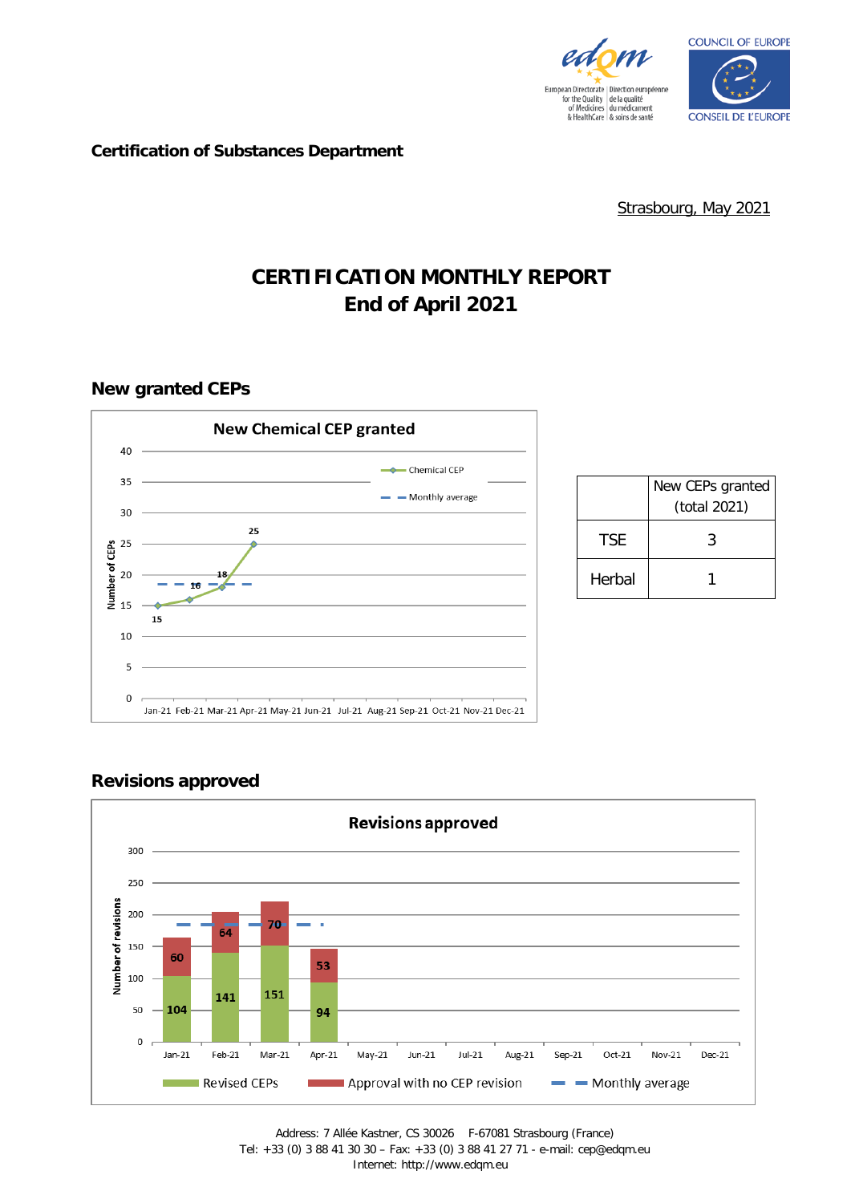



#### **Certification of Substances Department**

Strasbourg, May 2021

# **CERTIFICATION MONTHLY REPORT End of April 2021**

#### **New granted CEPs**



|        | New CEPs granted<br>(total 2021) |
|--------|----------------------------------|
| TSF.   | 3                                |
| Herbal |                                  |

## **Revisions approved**

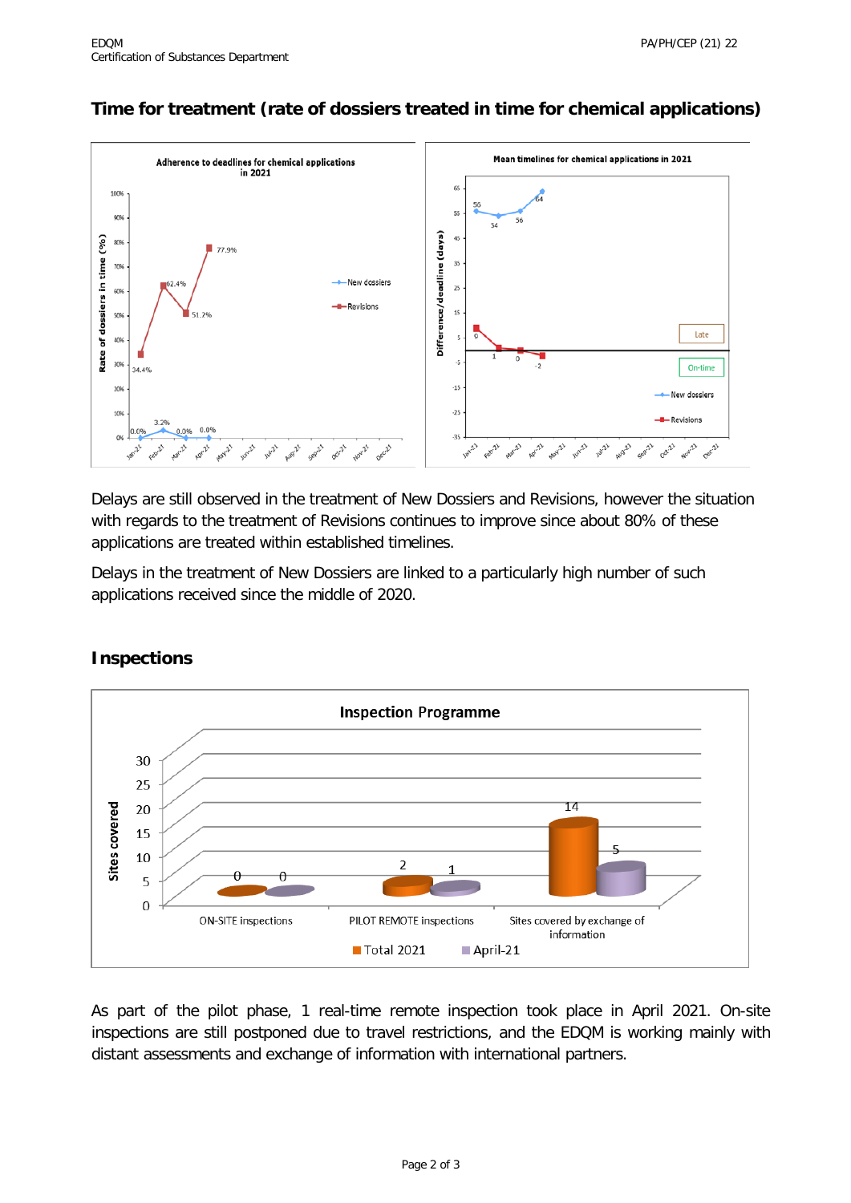## **Time for treatment (rate of dossiers treated in time for chemical applications)**



Delays are still observed in the treatment of New Dossiers and Revisions, however the situation with regards to the treatment of Revisions continues to improve since about 80% of these applications are treated within established timelines.

Delays in the treatment of New Dossiers are linked to a particularly high number of such applications received since the middle of 2020.



### **Inspections**

As part of the pilot phase, 1 real-time remote inspection took place in April 2021. On-site inspections are still postponed due to travel restrictions, and the EDQM is working mainly with distant assessments and exchange of information with international partners.